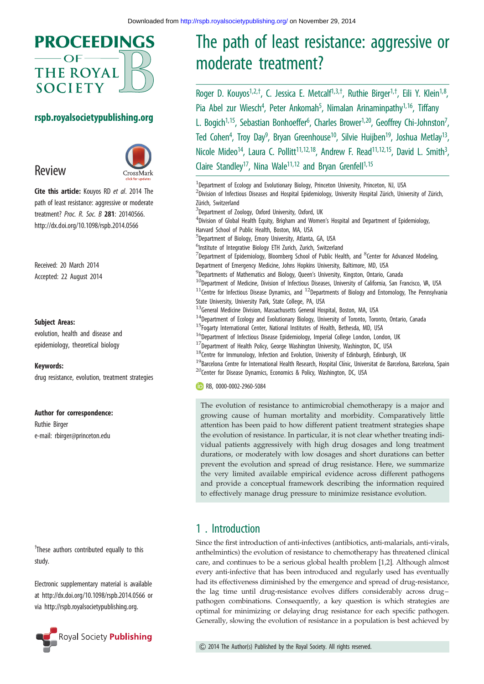

## rspb.royalsocietypublishing.org

# Review



Cite this article: Kouyos RD et al. 2014 The path of least resistance: aggressive or moderate treatment? Proc. R. Soc. B 281: 20140566. http://dx.doi.org/10.1098/rspb.2014.0566

Received: 20 March 2014 Accepted: 22 August 2014

#### Subject Areas:

evolution, health and disease and epidemiology, theoretical biology

#### Keywords:

drug resistance, evolution, treatment strategies

#### Author for correspondence:

Ruthie Birger e-mail: [rbirger@princeton.edu](mailto:rbirger@princeton.edu)

<sup>†</sup>These authors contributed equally to this study.

Electronic supplementary material is available at<http://dx.doi.org/10.1098/rspb.2014.0566> or via<http://rspb.royalsocietypublishing.org>.



# The path of least resistance: aggressive or moderate treatment?

Roger D. Kouyos<sup>1,2,†</sup>, C. Jessica E. Metcalf<sup>1,3,†</sup>, Ruthie Birger<sup>1,†</sup>, Eili Y. Klein<sup>1,8</sup>, Pia Abel zur Wiesch<sup>4</sup>, Peter Ankomah<sup>5</sup>, Nimalan Arinaminpathy<sup>1,16</sup>, Tiffany L. Bogich<sup>1,15</sup>, Sebastian Bonhoeffer<sup>6</sup>, Charles Brower<sup>1,20</sup>, Geoffrey Chi-Johnston<sup>7</sup> , Ted Cohen<sup>4</sup>, Troy Day<sup>9</sup>, Bryan Greenhouse<sup>10</sup>, Silvie Huijben<sup>19</sup>, Joshua Metlay<sup>13</sup>, Nicole Mideo<sup>14</sup>, Laura C. Pollitt<sup>11,12,18</sup>, Andrew F. Read<sup>11,12,15</sup>, David L. Smith<sup>3</sup>, , Claire Standley<sup>17</sup>, Nina Wale<sup>11,12</sup> and Bryan Grenfell<sup>1,15</sup>

<sup>1</sup>Department of Ecology and Evolutionary Biology, Princeton University, Princeton, NJ, USA  $^{2}$ Division of Infectious Diseases and Hospital Epidemiology, University Hospital Zürich, University of Zürich, Zürich, Switzerland <sup>3</sup>Department of Zoology, Oxford University, Oxford, UK 4 Division of Global Health Equity, Brigham and Women's Hospital and Department of Epidemiology, Harvard School of Public Health, Boston, MA, USA 5 Department of Biology, Emory University, Atlanta, GA, USA 6 Institute of Integrative Biology ETH Zurich, Zurich, Switzerland  $^7$ Department of Epidemiology, Bloomberg School of Public Health, and  $^8$ Center for Advanced Modeling, Department of Emergency Medicine, Johns Hopkins University, Baltimore, MD, USA <sup>9</sup>Departments of Mathematics and Biology, Queen's University, Kingston, Ontario, Canada  $^{10}$ Department of Medicine, Division of Infectious Diseases, University of California, San Francisco, VA, USA  $11$ Centre for Infectious Disease Dynamics, and  $12$ Departments of Biology and Entomology, The Pennsylvania State University, University Park, State College, PA, USA <sup>13</sup>General Medicine Division, Massachusetts General Hospital, Boston, MA, USA  $14$ Department of Ecology and Evolutionary Biology, University of Toronto, Toronto, Ontario, Canada <sup>15</sup>Fogarty International Center, National Institutes of Health, Bethesda, MD, USA <sup>16</sup>Department of Infectious Disease Epidemiology, Imperial College London, London, UK  $^{17}$ Department of Health Policy, George Washington University, Washington, DC, USA  $^{18}$ Centre for Immunology, Infection and Evolution, University of Edinburgh, Edinburgh, UK 19Barcelona Centre for International Health Research, Hospital Clínic, Universitat de Barcelona, Barcelona, Spain  $^{20}$ Center for Disease Dynamics, Economics & Policy, Washington, DC, USA

RB, [0000-0002-2960-5084](http://orcid.org/0000-0002-2960-5084)

The evolution of resistance to antimicrobial chemotherapy is a major and growing cause of human mortality and morbidity. Comparatively little attention has been paid to how different patient treatment strategies shape the evolution of resistance. In particular, it is not clear whether treating individual patients aggressively with high drug dosages and long treatment durations, or moderately with low dosages and short durations can better prevent the evolution and spread of drug resistance. Here, we summarize the very limited available empirical evidence across different pathogens and provide a conceptual framework describing the information required to effectively manage drug pressure to minimize resistance evolution.

## 1 . Introduction

Since the first introduction of anti-infectives (antibiotics, anti-malarials, anti-virals, anthelmintics) the evolution of resistance to chemotherapy has threatened clinical care, and continues to be a serious global health problem [[1,2\]](#page-5-0). Although almost every anti-infective that has been introduced and regularly used has eventually had its effectiveness diminished by the emergence and spread of drug-resistance, the lag time until drug-resistance evolves differs considerably across drug– pathogen combinations. Consequently, a key question is which strategies are optimal for minimizing or delaying drug resistance for each specific pathogen. Generally, slowing the evolution of resistance in a population is best achieved by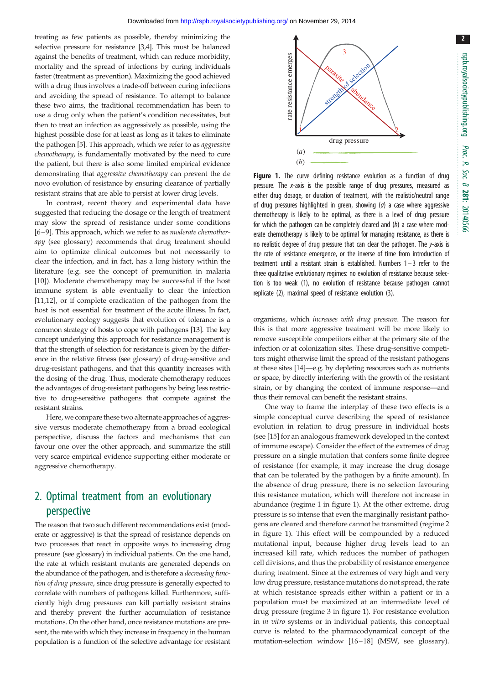<span id="page-1-0"></span>treating as few patients as possible, thereby minimizing the selective pressure for resistance [\[3,4\]](#page-5-0). This must be balanced against the benefits of treatment, which can reduce morbidity, mortality and the spread of infections by curing individuals faster (treatment as prevention). Maximizing the good achieved with a drug thus involves a trade-off between curing infections and avoiding the spread of resistance. To attempt to balance these two aims, the traditional recommendation has been to use a drug only when the patient's condition necessitates, but then to treat an infection as aggressively as possible, using the highest possible dose for at least as long as it takes to eliminate the pathogen [[5](#page-5-0)]. This approach, which we refer to as aggressive chemotherapy, is fundamentally motivated by the need to cure the patient, but there is also some limited empirical evidence demonstrating that aggressive chemotherapy can prevent the de novo evolution of resistance by ensuring clearance of partially resistant strains that are able to persist at lower drug levels.

In contrast, recent theory and experimental data have suggested that reducing the dosage or the length of treatment may slow the spread of resistance under some conditions [\[6](#page-5-0)–9]. This approach, which we refer to as *moderate chemother*apy (see glossary) recommends that drug treatment should aim to optimize clinical outcomes but not necessarily to clear the infection, and in fact, has a long history within the literature (e.g. see the concept of premunition in malaria [\[10](#page-5-0)]). Moderate chemotherapy may be successful if the host immune system is able eventually to clear the infection [\[11](#page-5-0),[12\]](#page-5-0), or if complete eradication of the pathogen from the host is not essential for treatment of the acute illness. In fact, evolutionary ecology suggests that evolution of tolerance is a common strategy of hosts to cope with pathogens [\[13\]](#page-5-0). The key concept underlying this approach for resistance management is that the strength of selection for resistance is given by the difference in the relative fitness (see glossary) of drug-sensitive and drug-resistant pathogens, and that this quantity increases with the dosing of the drug. Thus, moderate chemotherapy reduces the advantages of drug-resistant pathogens by being less restrictive to drug-sensitive pathogens that compete against the resistant strains.

Here, we compare these two alternate approaches of aggressive versus moderate chemotherapy from a broad ecological perspective, discuss the factors and mechanisms that can favour one over the other approach, and summarize the still very scarce empirical evidence supporting either moderate or aggressive chemotherapy.

# 2. Optimal treatment from an evolutionary perspective

The reason that two such different recommendations exist (moderate or aggressive) is that the spread of resistance depends on two processes that react in opposite ways to increasing drug pressure (see glossary) in individual patients. On the one hand, the rate at which resistant mutants are generated depends on the abundance of the pathogen, and is therefore a decreasing function of drug pressure, since drug pressure is generally expected to correlate with numbers of pathogens killed. Furthermore, sufficiently high drug pressures can kill partially resistant strains and thereby prevent the further accumulation of resistance mutations. On the other hand, once resistance mutations are present, the rate with which they increase in frequency in the human population is a function of the selective advantage for resistant



Figure 1. The curve defining resistance evolution as a function of drug pressure. The x-axis is the possible range of drug pressures, measured as either drug dosage, or duration of treatment, with the realistic/neutral range of drug pressures highlighted in green, showing  $(a)$  a case where aggressive chemotherapy is likely to be optimal, as there is a level of drug pressure for which the pathogen can be completely cleared and  $(b)$  a case where moderate chemotherapy is likely to be optimal for managing resistance, as there is no realistic degree of drug pressure that can clear the pathogen. The y-axis is the rate of resistance emergence, or the inverse of time from introduction of treatment until a resistant strain is established. Numbers 1– 3 refer to the three qualitative evolutionary regimes: no evolution of resistance because selection is too weak (1), no evolution of resistance because pathogen cannot replicate (2), maximal speed of resistance evolution (3).

organisms, which increases with drug pressure. The reason for this is that more aggressive treatment will be more likely to remove susceptible competitors either at the primary site of the infection or at colonization sites. These drug-sensitive competitors might otherwise limit the spread of the resistant pathogens at these sites [[14](#page-5-0)]—e.g. by depleting resources such as nutrients or space, by directly interfering with the growth of the resistant strain, or by changing the context of immune response—and thus their removal can benefit the resistant strains.

One way to frame the interplay of these two effects is a simple conceptual curve describing the speed of resistance evolution in relation to drug pressure in individual hosts (see [[15\]](#page-5-0) for an analogous framework developed in the context of immune escape). Consider the effect of the extremes of drug pressure on a single mutation that confers some finite degree of resistance (for example, it may increase the drug dosage that can be tolerated by the pathogen by a finite amount). In the absence of drug pressure, there is no selection favouring this resistance mutation, which will therefore not increase in abundance (regime 1 in figure 1). At the other extreme, drug pressure is so intense that even the marginally resistant pathogens are cleared and therefore cannot be transmitted (regime 2 in figure 1). This effect will be compounded by a reduced mutational input, because higher drug levels lead to an increased kill rate, which reduces the number of pathogen cell divisions, and thus the probability of resistance emergence during treatment. Since at the extremes of very high and very low drug pressure, resistance mutations do not spread, the rate at which resistance spreads either within a patient or in a population must be maximized at an intermediate level of drug pressure (regime 3 in figure 1). For resistance evolution in in vitro systems or in individual patients, this conceptual curve is related to the pharmacodynamical concept of the mutation-selection window [[16](#page-5-0)-[18\]](#page-5-0) (MSW, see glossary).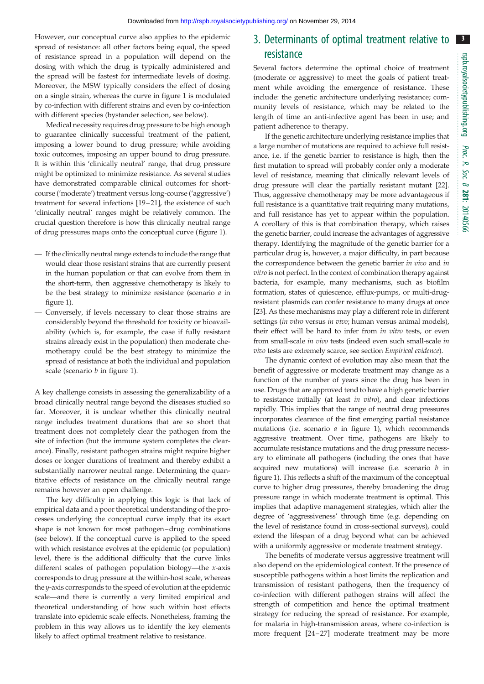However, our conceptual curve also applies to the epidemic spread of resistance: all other factors being equal, the speed of resistance spread in a population will depend on the dosing with which the drug is typically administered and the spread will be fastest for intermediate levels of dosing. Moreover, the MSW typically considers the effect of dosing on a single strain, whereas the curve in [figure 1](#page-1-0) is modulated by co-infection with different strains and even by co-infection with different species (bystander selection, see below).

Medical necessity requires drug pressure to be high enough to guarantee clinically successful treatment of the patient, imposing a lower bound to drug pressure; while avoiding toxic outcomes, imposing an upper bound to drug pressure. It is within this 'clinically neutral' range, that drug pressure might be optimized to minimize resistance. As several studies have demonstrated comparable clinical outcomes for shortcourse ('moderate') treatment versus long-course ('aggressive') treatment for several infections [\[19](#page-5-0)–[21](#page-5-0)], the existence of such 'clinically neutral' ranges might be relatively common. The crucial question therefore is how this clinically neutral range of drug pressures maps onto the conceptual curve ([figure 1](#page-1-0)).

- If the clinically neutral range extends to include the range that would clear those resistant strains that are currently present in the human population or that can evolve from them in the short-term, then aggressive chemotherapy is likely to be the best strategy to minimize resistance (scenario  $a$  in [figure 1](#page-1-0)).
- Conversely, if levels necessary to clear those strains are considerably beyond the threshold for toxicity or bioavailability (which is, for example, the case if fully resistant strains already exist in the population) then moderate chemotherapy could be the best strategy to minimize the spread of resistance at both the individual and population scale (scenario *b* in [figure 1\)](#page-1-0).

A key challenge consists in assessing the generalizability of a broad clinically neutral range beyond the diseases studied so far. Moreover, it is unclear whether this clinically neutral range includes treatment durations that are so short that treatment does not completely clear the pathogen from the site of infection (but the immune system completes the clearance). Finally, resistant pathogen strains might require higher doses or longer durations of treatment and thereby exhibit a substantially narrower neutral range. Determining the quantitative effects of resistance on the clinically neutral range remains however an open challenge.

The key difficulty in applying this logic is that lack of empirical data and a poor theoretical understanding of the processes underlying the conceptual curve imply that its exact shape is not known for most pathogen–drug combinations (see below). If the conceptual curve is applied to the speed with which resistance evolves at the epidemic (or population) level, there is the additional difficulty that the curve links different scales of pathogen population biology—the x-axis corresponds to drug pressure at the within-host scale, whereas the y-axis corresponds to the speed of evolution at the epidemic scale—and there is currently a very limited empirical and theoretical understanding of how such within host effects translate into epidemic scale effects. Nonetheless, framing the problem in this way allows us to identify the key elements likely to affect optimal treatment relative to resistance.

# 3. Determinants of optimal treatment relative to  $\blacksquare$ resistance

Several factors determine the optimal choice of treatment (moderate or aggressive) to meet the goals of patient treatment while avoiding the emergence of resistance. These include: the genetic architecture underlying resistance; community levels of resistance, which may be related to the length of time an anti-infective agent has been in use; and patient adherence to therapy.

If the genetic architecture underlying resistance implies that a large number of mutations are required to achieve full resistance, i.e. if the genetic barrier to resistance is high, then the first mutation to spread will probably confer only a moderate level of resistance, meaning that clinically relevant levels of drug pressure will clear the partially resistant mutant [[22\]](#page-5-0). Thus, aggressive chemotherapy may be more advantageous if full resistance is a quantitative trait requiring many mutations, and full resistance has yet to appear within the population. A corollary of this is that combination therapy, which raises the genetic barrier, could increase the advantages of aggressive therapy. Identifying the magnitude of the genetic barrier for a particular drug is, however, a major difficulty, in part because the correspondence between the genetic barrier in vivo and in vitro is not perfect. In the context of combination therapy against bacteria, for example, many mechanisms, such as biofilm formation, states of quiescence, efflux-pumps, or multi-drugresistant plasmids can confer resistance to many drugs at once [[23](#page-5-0)]. As these mechanisms may play a different role in different settings (in vitro versus in vivo; human versus animal models), their effect will be hard to infer from in vitro tests, or even from small-scale in vivo tests (indeed even such small-scale in vivo tests are extremely scarce, see section Empirical evidence).

The dynamic context of evolution may also mean that the benefit of aggressive or moderate treatment may change as a function of the number of years since the drug has been in use. Drugs that are approved tend to have a high genetic barrier to resistance initially (at least in vitro), and clear infections rapidly. This implies that the range of neutral drug pressures incorporates clearance of the first emerging partial resistance mutations (i.e. scenario  $a$  in [figure 1](#page-1-0)), which recommends aggressive treatment. Over time, pathogens are likely to accumulate resistance mutations and the drug pressure necessary to eliminate all pathogens (including the ones that have acquired new mutations) will increase (i.e. scenario b in [figure 1](#page-1-0)). This reflects a shift of the maximum of the conceptual curve to higher drug pressures, thereby broadening the drug pressure range in which moderate treatment is optimal. This implies that adaptive management strategies, which alter the degree of 'aggressiveness' through time (e.g. depending on the level of resistance found in cross-sectional surveys), could extend the lifespan of a drug beyond what can be achieved with a uniformly aggressive or moderate treatment strategy.

The benefits of moderate versus aggressive treatment will also depend on the epidemiological context. If the presence of susceptible pathogens within a host limits the replication and transmission of resistant pathogens, then the frequency of co-infection with different pathogen strains will affect the strength of competition and hence the optimal treatment strategy for reducing the spread of resistance. For example, for malaria in high-transmission areas, where co-infection is more frequent [[24](#page-5-0) –[27\]](#page-5-0) moderate treatment may be more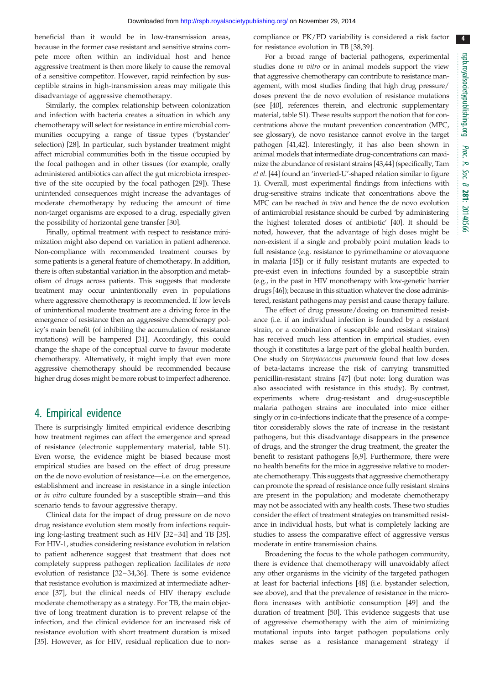beneficial than it would be in low-transmission areas, because in the former case resistant and sensitive strains compete more often within an individual host and hence aggressive treatment is then more likely to cause the removal of a sensitive competitor. However, rapid reinfection by susceptible strains in high-transmission areas may mitigate this disadvantage of aggressive chemotherapy.

Similarly, the complex relationship between colonization and infection with bacteria creates a situation in which any chemotherapy will select for resistance in entire microbial communities occupying a range of tissue types ('bystander' selection) [\[28](#page-5-0)]. In particular, such bystander treatment might affect microbial communities both in the tissue occupied by the focal pathogen and in other tissues (for example, orally administered antibiotics can affect the gut microbiota irrespective of the site occupied by the focal pathogen [\[29](#page-5-0)]). These unintended consequences might increase the advantages of moderate chemotherapy by reducing the amount of time non-target organisms are exposed to a drug, especially given the possibility of horizontal gene transfer [\[30](#page-5-0)].

Finally, optimal treatment with respect to resistance minimization might also depend on variation in patient adherence. Non-compliance with recommended treatment courses by some patients is a general feature of chemotherapy. In addition, there is often substantial variation in the absorption and metabolism of drugs across patients. This suggests that moderate treatment may occur unintentionally even in populations where aggressive chemotherapy is recommended. If low levels of unintentional moderate treatment are a driving force in the emergence of resistance then an aggressive chemotherapy policy's main benefit (of inhibiting the accumulation of resistance mutations) will be hampered [[31](#page-5-0)]. Accordingly, this could change the shape of the conceptual curve to favour moderate chemotherapy. Alternatively, it might imply that even more aggressive chemotherapy should be recommended because higher drug doses might be more robust to imperfect adherence.

### 4. Empirical evidence

There is surprisingly limited empirical evidence describing how treatment regimes can affect the emergence and spread of resistance (electronic supplementary material, table S1). Even worse, the evidence might be biased because most empirical studies are based on the effect of drug pressure on the de novo evolution of resistance—i.e. on the emergence, establishment and increase in resistance in a single infection or in vitro culture founded by a susceptible strain—and this scenario tends to favour aggressive therapy.

Clinical data for the impact of drug pressure on de novo drug resistance evolution stem mostly from infections requiring long-lasting treatment such as HIV [\[32](#page-5-0)–[34](#page-5-0)] and TB [\[35](#page-6-0)]. For HIV-1, studies considering resistance evolution in relation to patient adherence suggest that treatment that does not completely suppress pathogen replication facilitates de novo evolution of resistance [\[32](#page-5-0) –[34,](#page-5-0)[36\]](#page-6-0). There is some evidence that resistance evolution is maximized at intermediate adherence [[37](#page-6-0)], but the clinical needs of HIV therapy exclude moderate chemotherapy as a strategy. For TB, the main objective of long treatment duration is to prevent relapse of the infection, and the clinical evidence for an increased risk of resistance evolution with short treatment duration is mixed [\[35](#page-6-0)]. However, as for HIV, residual replication due to noncompliance or PK/PD variability is considered a risk factor for resistance evolution in TB [[38,39](#page-6-0)].

For a broad range of bacterial pathogens, experimental studies done in vitro or in animal models support the view that aggressive chemotherapy can contribute to resistance management, with most studies finding that high drug pressure/ doses prevent the de novo evolution of resistance mutations (see [\[40\]](#page-6-0), references therein, and electronic supplementary material, table S1). These results support the notion that for concentrations above the mutant prevention concentration (MPC, see glossary), de novo resistance cannot evolve in the target pathogen [\[41,42](#page-6-0)]. Interestingly, it has also been shown in animal models that intermediate drug-concentrations can maximize the abundance of resistant strains [\[43,44](#page-6-0)] (specifically, Tam et al. [\[44\]](#page-6-0) found an 'inverted-U'-shaped relation similar to [figure](#page-1-0) [1](#page-1-0)). Overall, most experimental findings from infections with drug-sensitive strains indicate that concentrations above the MPC can be reached in vivo and hence the de novo evolution of antimicrobial resistance should be curbed 'by administering the highest tolerated doses of antibiotic' [\[40](#page-6-0)]. It should be noted, however, that the advantage of high doses might be non-existent if a single and probably point mutation leads to full resistance (e.g. resistance to pyrimethamine or atovaquone in malaria [\[45\]](#page-6-0)) or if fully resistant mutants are expected to pre-exist even in infections founded by a susceptible strain (e.g., in the past in HIV monotherapy with low-genetic barrier drugs [[46](#page-6-0)]); because in this situation whatever the dose administered, resistant pathogens may persist and cause therapy failure.

The effect of drug pressure/dosing on transmitted resistance (i.e. if an individual infection is founded by a resistant strain, or a combination of susceptible and resistant strains) has received much less attention in empirical studies, even though it constitutes a large part of the global health burden. One study on Streptococcus pneumonia found that low doses of beta-lactams increase the risk of carrying transmitted penicillin-resistant strains [\[47](#page-6-0)] (but note: long duration was also associated with resistance in this study). By contrast, experiments where drug-resistant and drug-susceptible malaria pathogen strains are inoculated into mice either singly or in co-infections indicate that the presence of a competitor considerably slows the rate of increase in the resistant pathogens, but this disadvantage disappears in the presence of drugs, and the stronger the drug treatment, the greater the benefit to resistant pathogens [\[6,9](#page-5-0)]. Furthermore, there were no health benefits for the mice in aggressive relative to moderate chemotherapy. This suggests that aggressive chemotherapy can promote the spread of resistance once fully resistant strains are present in the population; and moderate chemotherapy may not be associated with any health costs. These two studies consider the effect of treatment strategies on transmitted resistance in individual hosts, but what is completely lacking are studies to assess the comparative effect of aggressive versus moderate in entire transmission chains.

Broadening the focus to the whole pathogen community, there is evidence that chemotherapy will unavoidably affect any other organisms in the vicinity of the targeted pathogen at least for bacterial infections [\[48](#page-6-0)] (i.e. bystander selection, see above), and that the prevalence of resistance in the microflora increases with antibiotic consumption [\[49](#page-6-0)] and the duration of treatment [[50](#page-6-0)]. This evidence suggests that use of aggressive chemotherapy with the aim of minimizing mutational inputs into target pathogen populations only makes sense as a resistance management strategy if 4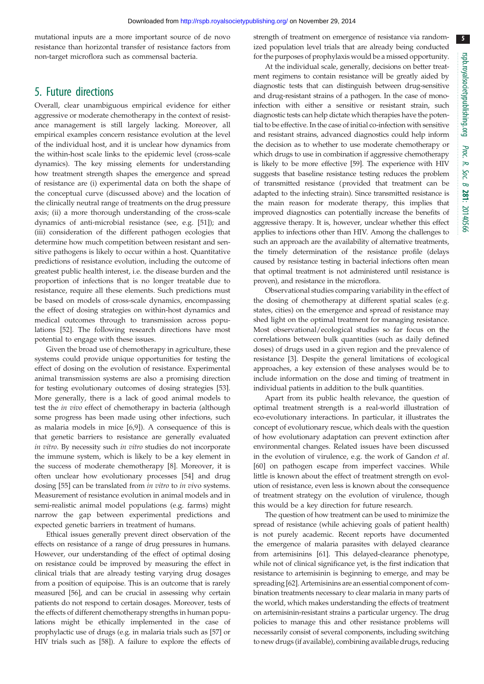mutational inputs are a more important source of de novo resistance than horizontal transfer of resistance factors from non-target microflora such as commensal bacteria.

### 5. Future directions

Overall, clear unambiguous empirical evidence for either aggressive or moderate chemotherapy in the context of resistance management is still largely lacking. Moreover, all empirical examples concern resistance evolution at the level of the individual host, and it is unclear how dynamics from the within-host scale links to the epidemic level (cross-scale dynamics). The key missing elements for understanding how treatment strength shapes the emergence and spread of resistance are (i) experimental data on both the shape of the conceptual curve (discussed above) and the location of the clinically neutral range of treatments on the drug pressure axis; (ii) a more thorough understanding of the cross-scale dynamics of anti-microbial resistance (see, e.g. [\[51](#page-6-0)]); and (iii) consideration of the different pathogen ecologies that determine how much competition between resistant and sensitive pathogens is likely to occur within a host. Quantitative predictions of resistance evolution, including the outcome of greatest public health interest, i.e. the disease burden and the proportion of infections that is no longer treatable due to resistance, require all these elements. Such predictions must be based on models of cross-scale dynamics, encompassing the effect of dosing strategies on within-host dynamics and medical outcomes through to transmission across populations [[52\]](#page-6-0). The following research directions have most potential to engage with these issues.

Given the broad use of chemotherapy in agriculture, these systems could provide unique opportunities for testing the effect of dosing on the evolution of resistance. Experimental animal transmission systems are also a promising direction for testing evolutionary outcomes of dosing strategies [\[53](#page-6-0)]. More generally, there is a lack of good animal models to test the in vivo effect of chemotherapy in bacteria (although some progress has been made using other infections, such as malaria models in mice [[6](#page-5-0),[9](#page-5-0)]). A consequence of this is that genetic barriers to resistance are generally evaluated in vitro. By necessity such in vitro studies do not incorporate the immune system, which is likely to be a key element in the success of moderate chemotherapy [[8\]](#page-5-0). Moreover, it is often unclear how evolutionary processes [\[54](#page-6-0)] and drug dosing [[55\]](#page-6-0) can be translated from *in vitro* to *in vivo* systems. Measurement of resistance evolution in animal models and in semi-realistic animal model populations (e.g. farms) might narrow the gap between experimental predictions and expected genetic barriers in treatment of humans.

Ethical issues generally prevent direct observation of the effects on resistance of a range of drug pressures in humans. However, our understanding of the effect of optimal dosing on resistance could be improved by measuring the effect in clinical trials that are already testing varying drug dosages from a position of equipoise. This is an outcome that is rarely measured [\[56](#page-6-0)], and can be crucial in assessing why certain patients do not respond to certain dosages. Moreover, tests of the effects of different chemotherapy strengths in human populations might be ethically implemented in the case of prophylactic use of drugs (e.g. in malaria trials such as [\[57\]](#page-6-0) or HIV trials such as [[58](#page-6-0)]). A failure to explore the effects of

strength of treatment on emergence of resistance via randomized population level trials that are already being conducted for the purposes of prophylaxis would be a missed opportunity.

At the individual scale, generally, decisions on better treatment regimens to contain resistance will be greatly aided by diagnostic tests that can distinguish between drug-sensitive and drug-resistant strains of a pathogen. In the case of monoinfection with either a sensitive or resistant strain, such diagnostic tests can help dictate which therapies have the potential to be effective. In the case of initial co-infection with sensitive and resistant strains, advanced diagnostics could help inform the decision as to whether to use moderate chemotherapy or which drugs to use in combination if aggressive chemotherapy is likely to be more effective [[59\]](#page-6-0). The experience with HIV suggests that baseline resistance testing reduces the problem of transmitted resistance (provided that treatment can be adapted to the infecting strain). Since transmitted resistance is the main reason for moderate therapy, this implies that improved diagnostics can potentially increase the benefits of aggressive therapy. It is, however, unclear whether this effect applies to infections other than HIV. Among the challenges to such an approach are the availability of alternative treatments, the timely determination of the resistance profile (delays caused by resistance testing in bacterial infections often mean that optimal treatment is not administered until resistance is proven), and resistance in the microflora.

Observational studies comparing variability in the effect of the dosing of chemotherapy at different spatial scales (e.g. states, cities) on the emergence and spread of resistance may shed light on the optimal treatment for managing resistance. Most observational/ecological studies so far focus on the correlations between bulk quantities (such as daily defined doses) of drugs used in a given region and the prevalence of resistance [\[3\]](#page-5-0). Despite the general limitations of ecological approaches, a key extension of these analyses would be to include information on the dose and timing of treatment in individual patients in addition to the bulk quantities.

Apart from its public health relevance, the question of optimal treatment strength is a real-world illustration of eco-evolutionary interactions. In particular, it illustrates the concept of evolutionary rescue, which deals with the question of how evolutionary adaptation can prevent extinction after environmental changes. Related issues have been discussed in the evolution of virulence, e.g. the work of Gandon et al. [[60\]](#page-6-0) on pathogen escape from imperfect vaccines. While little is known about the effect of treatment strength on evolution of resistance, even less is known about the consequence of treatment strategy on the evolution of virulence, though this would be a key direction for future research.

The question of how treatment can be used to minimize the spread of resistance (while achieving goals of patient health) is not purely academic. Recent reports have documented the emergence of malaria parasites with delayed clearance from artemisinins [\[61](#page-6-0)]. This delayed-clearance phenotype, while not of clinical significance yet, is the first indication that resistance to artemisinin is beginning to emerge, and may be spreading [[62](#page-6-0)]. Artemisinins are an essential component of combination treatments necessary to clear malaria in many parts of the world, which makes understanding the effects of treatment on artemisinin-resistant strains a particular urgency. The drug policies to manage this and other resistance problems will necessarily consist of several components, including switching to new drugs (if available), combining available drugs, reducing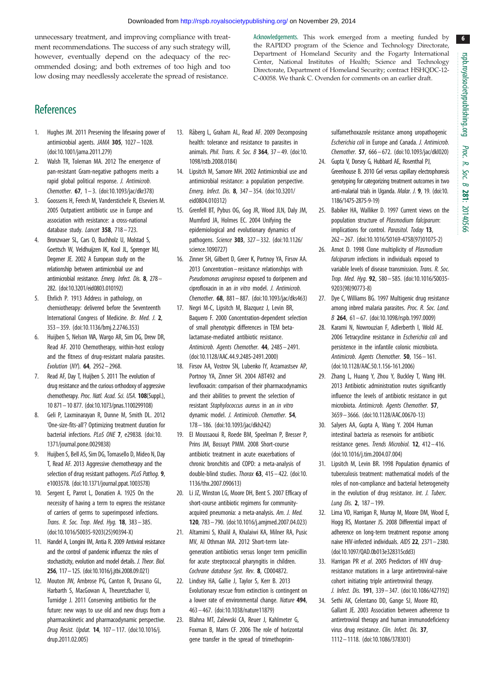<span id="page-5-0"></span>unnecessary treatment, and improving compliance with treatment recommendations. The success of any such strategy will, however, eventually depend on the adequacy of the recommended dosing; and both extremes of too high and too low dosing may needlessly accelerate the spread of resistance.

Acknowledgements. This work emerged from a meeting funded by the RAPIDD program of the Science and Technology Directorate, Department of Homeland Security and the Fogarty International Center, National Institutes of Health; Science and Technology Directorate, Department of Homeland Security; contract HSHQDC-12- C-00058. We thank C. Ovenden for comments on an earlier draft.

## **References**

- 1. Hughes JM. 2011 Preserving the lifesaving power of antimicrobial agents. JAMA 305, 1027 - 1028. [\(doi:10.1001/jama.2011.279](http://dx.doi.org/10.1001/jama.2011.279))
- 2. Walsh TR, Toleman MA. 2012 The emergence of pan-resistant Gram-negative pathogens merits a rapid global political response. J. Antimicrob. Chemother. 67, 1– 3. ([doi:10.1093/jac/dkr378](http://dx.doi.org/10.1093/jac/dkr378))
- 3. Goossens H, Ferech M, Vanderstichele R, Elseviers M. 2005 Outpatient antibiotic use in Europe and association with resistance: a cross-national database study. Lancet 358, 718-723.
- 4. Bronzwaer SL, Cars O, Buchholz U, Molstad S, Goettsch W, Veldhuijzen IK, Kool JL, Sprenger MJ, Degener JE. 2002 A European study on the relationship between antimicrobial use and antimicrobial resistance. Emerg. Infect. Dis. 8, 278– 282. [\(doi:10.3201/eid0803.010192](http://dx.doi.org/10.3201/eid0803.010192))
- 5. Ehrlich P. 1913 Address in pathology, on chemiotherapy: delivered before the Seventeenth International Congress of Medicine. Br. Med. J. 2, 353– 359. ([doi:10.1136/bmj.2.2746.353\)](http://dx.doi.org/10.1136/bmj.2.2746.353)
- 6. Huijben S, Nelson WA, Wargo AR, Sim DG, Drew DR, Read AF. 2010 Chemotherapy, within-host ecology and the fitness of drug-resistant malaria parasites. Evolution (NY). 64, 2952 – 2968.
- 7. Read AF, Day T, Huijben S. 2011 The evolution of drug resistance and the curious orthodoxy of aggressive chemotherapy. Proc. Natl. Acad. Sci. USA. 108(Suppl.), 10 871–10 877. [\(doi:10.1073/pnas.1100299108\)](http://dx.doi.org/10.1073/pnas.1100299108)
- 8. Geli P, Laxminarayan R, Dunne M, Smith DL. 2012 'One-size-fits-all'? Optimizing treatment duration for bacterial infections. PLoS ONE 7, e29838. [\(doi:10.](http://dx.doi.org/10.1371/journal.pone.0029838) [1371/journal.pone.0029838\)](http://dx.doi.org/10.1371/journal.pone.0029838)
- 9. Huijben S, Bell AS, Sim DG, Tomasello D, Mideo N, Day T, Read AF. 2013 Aggressive chemotherapy and the selection of drug resistant pathogens. PLoS Pathog. 9, e1003578. ([doi:10.1371/journal.ppat.1003578](http://dx.doi.org/10.1371/journal.ppat.1003578))
- 10. Sergent E, Parrot L, Donatien A. 1925 On the necessity of having a term to express the resistance of carriers of germs to superimposed infections. Trans. R. Soc. Trop. Med. Hyg. 18, 383 – 385. [\(doi:10.1016/S0035-9203\(25\)90394-X\)](http://dx.doi.org/10.1016/S0035-9203(25)90394-X)
- 11. Handel A, Longini IM, Antia R. 2009 Antiviral resistance and the control of pandemic influenza: the roles of stochasticity, evolution and model details. J. Theor. Biol. 256, 117–125. [\(doi:10.1016/j.jtbi.2008.09.021](http://dx.doi.org/10.1016/j.jtbi.2008.09.021))
- 12. Mouton JW, Ambrose PG, Canton R, Drusano GL, Harbarth S, MacGowan A, Theuretzbacher U, Turnidge J. 2011 Conserving antibiotics for the future: new ways to use old and new drugs from a pharmacokinetic and pharmacodynamic perspective. Drug Resist. Updat. 14, 107– 117. [\(doi:10.1016/j.](http://dx.doi.org/10.1016/j.drup.2011.02.005) [drup.2011.02.005](http://dx.doi.org/10.1016/j.drup.2011.02.005))
- 13. Råberg L, Graham AL, Read AF, 2009 Decomposing health: tolerance and resistance to parasites in animals. Phil. Trans. R. Soc. B 364, 37 – 49. [\(doi:10.](http://dx.doi.org/10.1098/rstb.2008.0184) [1098/rstb.2008.0184](http://dx.doi.org/10.1098/rstb.2008.0184))
- 14. Lipsitch M, Samore MH. 2002 Antimicrobial use and antimicrobial resistance: a population perspective. Emerg. Infect. Dis. 8, 347– 354. ([doi:10.3201/](http://dx.doi.org/10.3201/eid0804.010312) [eid0804.010312\)](http://dx.doi.org/10.3201/eid0804.010312)
- 15. Grenfell BT, Pybus OG, Gog JR, Wood JLN, Daly JM, Mumford JA, Holmes EC. 2004 Unifying the epidemiological and evolutionary dynamics of pathogens. Science 303, 327– 332. ([doi:10.1126/](http://dx.doi.org/10.1126/science.1090727) [science.1090727\)](http://dx.doi.org/10.1126/science.1090727)
- 16. Zinner SH, Gilbert D, Greer K, Portnoy YA, Firsov AA. 2013 Concentration – resistance relationships with Pseudomonas aeruginosa exposed to doripenem and ciprofloxacin in an in vitro model. J. Antimicrob. Chemother. 68, 881– 887. [\(doi:10.1093/jac/dks463\)](http://dx.doi.org/10.1093/jac/dks463)
- 17. Negri M-C, Lipsitch M, Blazquez J, Levin BR, Baquero F. 2000 Concentration-dependent selection of small phenotypic differences in TEM betalactamase-mediated antibiotic resistance. Antimicrob. Agents Chemother. 44, 2485 – 2491. [\(doi:10.1128/AAC.44.9.2485-2491.2000](http://dx.doi.org/10.1128/AAC.44.9.2485-2491.2000))
- 18. Firsov AA, Vostrov SN, Lubenko IY, Arzamastsev AP, Portnoy YA, Zinner SH. 2004 ABT492 and levofloxacin: comparison of their pharmacodynamics and their abilities to prevent the selection of resistant Staphylococcus aureus in an in vitro dynamic model. J. Antimicrob. Chemother. 54. 178 – 186. [\(doi:10.1093/jac/dkh242](http://dx.doi.org/10.1093/jac/dkh242))
- 19. El Moussaoui R, Roede BM, Speelman P, Bresser P, Prins JM, Bossuyt PMM. 2008 Short-course antibiotic treatment in acute exacerbations of chronic bronchitis and COPD: a meta-analysis of double-blind studies. Thorax 63, 415-422. [\(doi:10.](http://dx.doi.org/10.1136/thx.2007.090613) [1136/thx.2007.090613\)](http://dx.doi.org/10.1136/thx.2007.090613)
- 20. Li JZ, Winston LG, Moore DH, Bent S. 2007 Efficacy of short-course antibiotic regimens for communityacquired pneumonia: a meta-analysis. Am. J. Med. 120, 783–790. ([doi:10.1016/j.amjmed.2007.04.023](http://dx.doi.org/10.1016/j.amjmed.2007.04.023))
- 21. Altamimi S, Khalil A, Khalaiwi KA, Milner RA, Pusic MV, Al Othman MA. 2012 Short-term lategeneration antibiotics versus longer term penicillin for acute streptococcal pharyngitis in children. Cochrane database Syst. Rev. 8, CD004872.
- 22. Lindsey HA, Gallie J, Taylor S, Kerr B. 2013 Evolutionary rescue from extinction is contingent on a lower rate of environmental change. Nature 494, 463 – 467. [\(doi:10.1038/nature11879](http://dx.doi.org/10.1038/nature11879))
- 23. Blahna MT, Zalewski CA, Reuer J, Kahlmeter G, Foxman B, Marrs CF. 2006 The role of horizontal gene transfer in the spread of trimethoprim-

sulfamethoxazole resistance among uropathogenic Escherichia coli in Europe and Canada. J. Antimicrob. Chemother. 57, 666 – 672. [\(doi:10.1093/jac/dkl020\)](http://dx.doi.org/10.1093/jac/dkl020)

- 24. Gupta V, Dorsey G, Hubbard AE, Rosenthal PJ, Greenhouse B. 2010 Gel versus capillary electrophoresis genotyping for categorizing treatment outcomes in two anti-malarial trials in Uganda. Malar. J. 9, 19. [\(doi:10.](http://dx.doi.org/10.1186/1475-2875-9-19) [1186/1475-2875-9-19\)](http://dx.doi.org/10.1186/1475-2875-9-19)
- 25. Babiker HA, Walliker D. 1997 Current views on the population structure of Plasmodium falciparum: implications for control. Parasitol. Today 13, 262– 267. [\(doi:10.1016/S0169-4758\(97\)01075-2](http://dx.doi.org/10.1016/S0169-4758(97)01075-2))
- 26. Arnot D. 1998 Clone multiplicity of Plasmodium falciparum infections in individuals exposed to variable levels of disease transmission. Trans. R. Soc. Trop. Med. Hyg. 92, 580– 585. [\(doi:10.1016/S0035-](http://dx.doi.org/10.1016/S0035-9203(98)90773-8) [9203\(98\)90773-8](http://dx.doi.org/10.1016/S0035-9203(98)90773-8))
- 27. Dye C, Williams BG. 1997 Multigenic drug resistance among inbred malaria parasites. Proc. R. Soc. Lond. B 264, 61 – 67. [\(doi:10.1098/rspb.1997.0009\)](http://dx.doi.org/10.1098/rspb.1997.0009)
- 28. Karami N, Nowrouzian F, Adlerberth I, Wold AE. 2006 Tetracycline resistance in Escherichia coli and persistence in the infantile colonic microbiota. Antimicrob. Agents Chemother. 50, 156-161. ([doi:10.1128/AAC.50.1.156-161.2006](http://dx.doi.org/10.1128/AAC.50.1.156-161.2006))
- 29. Zhang L, Huang Y, Zhou Y, Buckley T, Wang HH. 2013 Antibiotic administration routes significantly influence the levels of antibiotic resistance in gut microbiota. Antimicrob. Agents Chemother. 57, 3659– 3666. ([doi:10.1128/AAC.00670-13\)](http://dx.doi.org/10.1128/AAC.00670-13)
- 30. Salyers AA, Gupta A, Wang Y. 2004 Human intestinal bacteria as reservoirs for antibiotic resistance genes. Trends Microbiol. 12, 412– 416. ([doi:10.1016/j.tim.2004.07.004\)](http://dx.doi.org/10.1016/j.tim.2004.07.004)
- 31. Lipsitch M, Levin BR. 1998 Population dynamics of tuberculosis treatment: mathematical models of the roles of non-compliance and bacterial heterogeneity in the evolution of drug resistance. Int. J. Tuberc. Lung Dis. 2, 187– 199.
- 32. Lima VD, Harrigan R, Murray M, Moore DM, Wood E, Hogg RS, Montaner JS. 2008 Differential impact of adherence on long-term treatment response among naive HIV-infected individuals. AIDS 22, 2371–2380. ([doi:10.1097/QAD.0b013e328315cdd3\)](http://dx.doi.org/10.1097/QAD.0b013e328315cdd3)
- 33. Harrigan PR et al. 2005 Predictors of HIV drugresistance mutations in a large antiretroviral-naive cohort initiating triple antiretroviral therapy. J. Infect. Dis. 191, 339 – 347. ([doi:10.1086/427192](http://dx.doi.org/10.1086/427192))
- 34. Sethi AK, Celentano DD, Gange SJ, Moore RD, Gallant JE. 2003 Association between adherence to antiretroviral therapy and human immunodeficiency virus drug resistance. Clin. Infect. Dis. 37, 1112– 1118. ([doi:10.1086/378301\)](http://dx.doi.org/10.1086/378301)

6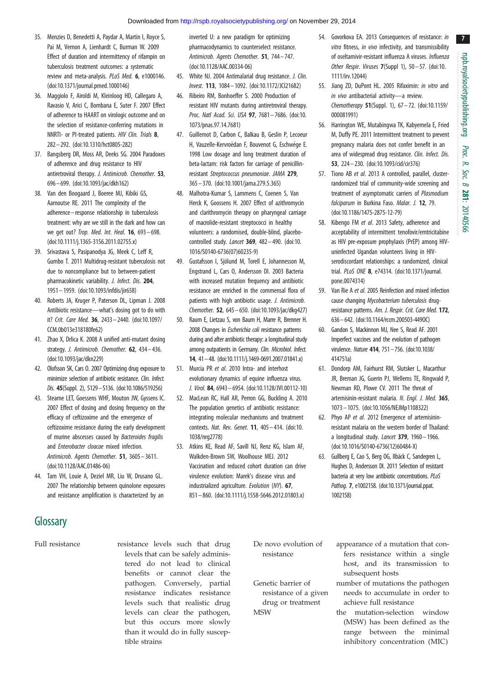- <span id="page-6-0"></span>35. Menzies D, Benedetti A, Paydar A, Martin I, Royce S, Pai M, Vernon A, Lienhardt C, Burman W. 2009 Effect of duration and intermittency of rifampin on tuberculosis treatment outcomes: a systematic review and meta-analysis. PLoS Med. 6, e1000146. [\(doi:10.1371/journal.pmed.1000146\)](http://dx.doi.org/10.1371/journal.pmed.1000146)
- 36. Maggiolo F, Airoldi M, Kleinloog HD, Callegaro A, Ravasio V, Arici C, Bombana E, Suter F. 2007 Effect of adherence to HAART on virologic outcome and on the selection of resistance-conferring mutations in NNRTI- or PI-treated patients. HIV Clin. Trials 8, 282– 292. ([doi:10.1310/hct0805-282\)](http://dx.doi.org/10.1310/hct0805-282)
- 37. Bangsberg DR, Moss AR, Deeks SG. 2004 Paradoxes of adherence and drug resistance to HIV antiretroviral therapy. J. Antimicrob. Chemother. 53, 696– 699. ([doi:10.1093/jac/dkh162](http://dx.doi.org/10.1093/jac/dkh162))
- 38. Van den Boogaard J, Boeree MJ, Kibiki GS, Aarnoutse RE. 2011 The complexity of the adherence–response relationship in tuberculosis treatment: why are we still in the dark and how can we get out? Trop. Med. Int. Heal. 16, 693– 698. [\(doi:10.1111/j.1365-3156.2011.02755.x](http://dx.doi.org/10.1111/j.1365-3156.2011.02755.x))
- 39. Srivastava S, Pasipanodya JG, Meek C, Leff R, Gumbo T. 2011 Multidrug-resistant tuberculosis not due to noncompliance but to between-patient pharmacokinetic variability. J. Infect. Dis. 204, 1951 – 1959. [\(doi:10.1093/infdis/jir658\)](http://dx.doi.org/10.1093/infdis/jir658)
- 40. Roberts JA, Kruger P, Paterson DL, Lipman J. 2008 Antibiotic resistance—what's dosing got to do with it? Crit. Care Med. 36, 2433 – 2440. ([doi:10.1097/](http://dx.doi.org/10.1097/CCM.0b013e318180fe62) [CCM.0b013e318180fe62](http://dx.doi.org/10.1097/CCM.0b013e318180fe62))
- 41. Zhao X, Drlica K. 2008 A unified anti-mutant dosing strategy. J. Antimicrob. Chemother. **62**, 434–436. [\(doi:10.1093/jac/dkn229\)](http://dx.doi.org/10.1093/jac/dkn229)
- 42. Olofsson SK, Cars O. 2007 Optimizing drug exposure to minimize selection of antibiotic resistance. Clin. Infect. Dis. 45(Suppl. 2), S129–S136. [\(doi:10.1086/519256\)](http://dx.doi.org/10.1086/519256)
- 43. Stearne LET, Goessens WHF, Mouton JW, Gyssens IC. 2007 Effect of dosing and dosing frequency on the efficacy of ceftizoxime and the emergence of ceftizoxime resistance during the early development of murine abscesses caused by Bacteroides fragilis and Enterobacter cloacae mixed infection. Antimicrob. Agents Chemother. 51, 3605– 3611. [\(doi:10.1128/AAC.01486-06](http://dx.doi.org/10.1128/AAC.01486-06))
- 44. Tam VH, Louie A, Deziel MR, Liu W, Drusano GL. 2007 The relationship between quinolone exposures and resistance amplification is characterized by an

inverted U: a new paradigm for optimizing pharmacodynamics to counterselect resistance. Antimicrob. Agents Chemother. 51, 744-747. [\(doi:10.1128/AAC.00334-06\)](http://dx.doi.org/10.1128/AAC.00334-06)

- 45. White NJ. 2004 Antimalarial drug resistance. J. Clin. Invest. 113, 1084– 1092. [\(doi:10.1172/JCI21682](http://dx.doi.org/10.1172/JCI21682))
- 46. Ribeiro RM, Bonhoeffer S. 2000 Production of resistant HIV mutants during antiretroviral therapy. Proc. Natl Acad. Sci. USA 97, 7681-7686. [\(doi:10.](http://dx.doi.org/10.1073/pnas.97.14.7681) [1073/pnas.97.14.7681\)](http://dx.doi.org/10.1073/pnas.97.14.7681)
- 47. Guillemot D, Carbon C, Balkau B, Geslin P, Lecoeur H, Vauzelle-Kervroëdan F, Bouvenot G, Eschwége E. 1998 Low dosage and long treatment duration of beta-lactam: risk factors for carriage of penicillinresistant Streptococcus pneumoniae. JAMA 279, 365– 370. [\(doi:10.1001/jama.279.5.365](http://dx.doi.org/10.1001/jama.279.5.365))
- 48. Malhotra-Kumar S, Lammens C, Coenen S, Van Herck K, Goossens H. 2007 Effect of azithromycin and clarithromycin therapy on pharyngeal carriage of macrolide-resistant streptococci in healthy volunteers: a randomised, double-blind, placebocontrolled study. Lancet 369, 482– 490. [\(doi:10.](http://dx.doi.org/10.1016/S0140-6736(07)60235-9) [1016/S0140-6736\(07\)60235-9](http://dx.doi.org/10.1016/S0140-6736(07)60235-9))
- 49. Gustafsson I, Sjölund M, Torell E, Johannesson M, Engstrand L, Cars O, Andersson DI. 2003 Bacteria with increased mutation frequency and antibiotic resistance are enriched in the commensal flora of patients with high antibiotic usage. J. Antimicrob. Chemother. 52, 645– 650. [\(doi:10.1093/jac/dkg427\)](http://dx.doi.org/10.1093/jac/dkg427)
- 50. Raum E, Lietzau S, von Baum H, Marre R, Brenner H. 2008 Changes in Escherichia coli resistance patterns during and after antibiotic therapy: a longitudinal study among outpatients in Germany. Clin. Microbiol. Infect. 14, 41–48. ([doi:10.1111/j.1469-0691.2007.01841.x](http://dx.doi.org/10.1111/j.1469-0691.2007.01841.x))
- 51. Murcia PR et al. 2010 Intra- and interhost evolutionary dynamics of equine influenza virus. J. Virol. 84, 6943– 6954. ([doi:10.1128/JVI.00112-10\)](http://dx.doi.org/10.1128/JVI.00112-10)
- 52. MacLean RC, Hall AR, Perron GG, Buckling A. 2010 The population genetics of antibiotic resistance: integrating molecular mechanisms and treatment contexts. Nat. Rev. Genet. 11, 405– 414. [\(doi:10.](http://dx.doi.org/10.1038/nrg2778) [1038/nrg2778\)](http://dx.doi.org/10.1038/nrg2778)
- 53. Atkins KE, Read AF, Savill NJ, Renz KG, Islam AF, Walkden-Brown SW, Woolhouse MEJ. 2012 Vaccination and reduced cohort duration can drive virulence evolution: Marek's disease virus and industrialized agriculture. Evolution (NY). 67. 851 – 860. [\(doi:10.1111/j.1558-5646.2012.01803.x](http://dx.doi.org/10.1111/j.1558-5646.2012.01803.x))
- 54. Govorkova EA. 2013 Consequences of resistance: in vitro fitness, in vivo infectivity, and transmissibility of oseltamivir-resistant influenza A viruses. Influenza Other Respir. Viruses 7(Suppl 1), 50 - 57. ([doi:10.](http://dx.doi.org/10.1111/irv.12044) [1111/irv.12044](http://dx.doi.org/10.1111/irv.12044))
- 55. Jiang ZD, DuPont HL. 2005 Rifaximin: in vitro and in vivo antibacterial activity—a review. Chemotherapy 51(Suppl. 1), 67 – 72. [\(doi:10.1159/](http://dx.doi.org/10.1159/000081991) [000081991](http://dx.doi.org/10.1159/000081991))
- 56. Harrington WE, Mutabingwa TK, Kabyemela E, Fried M, Duffy PE. 2011 Intermittent treatment to prevent pregnancy malaria does not confer benefit in an area of widespread drug resistance. Clin. Infect. Dis. 53, 224 – 230. [\(doi:10.1093/cid/cir376\)](http://dx.doi.org/10.1093/cid/cir376)
- 57. Tiono AB et al. 2013 A controlled, parallel, clusterrandomized trial of community-wide screening and treatment of asymptomatic carriers of Plasmodium falciparum in Burkina Faso. Malar. J. 12, 79. ([doi:10.1186/1475-2875-12-79](http://dx.doi.org/10.1186/1475-2875-12-79))
- 58. Kibengo FM et al. 2013 Safety, adherence and acceptability of intermittent tenofovir/emtricitabine as HIV pre-exposure prophylaxis (PrEP) among HIVuninfected Ugandan volunteers living in HIVserodiscordant relationships: a randomized, clinical trial. PLoS ONE 8, e74314. [\(doi:10.1371/journal.](http://dx.doi.org/10.1371/journal.pone.0074314) [pone.0074314\)](http://dx.doi.org/10.1371/journal.pone.0074314)
- 59. Van Rie A et al. 2005 Reinfection and mixed infection cause changing Mycobacterium tuberculosis drugresistance patterns. Am. J. Respir. Crit. Care Med. 172. 636–642. [\(doi:10.1164/rccm.200503-449OC\)](http://dx.doi.org/10.1164/rccm.200503-449OC)
- 60. Gandon S, Mackinnon MJ, Nee S, Read AF. 2001 Imperfect vaccines and the evolution of pathogen virulence. Nature 414, 751–756. ([doi:10.1038/](http://dx.doi.org/10.1038/414751a) [414751a](http://dx.doi.org/10.1038/414751a))
- 61. Dondorp AM, Fairhurst RM, Slutsker L, Macarthur JR, Breman JG, Guerin PJ, Wellems TE, Ringwald P, Newman RD, Plowe CV. 2011 The threat of artemisinin-resistant malaria. N. Engl. J. Med. 365, 1073– 1075. ([doi:10.1056/NEJMp1108322\)](http://dx.doi.org/10.1056/NEJMp1108322)
- 62. Phyo AP et al. 2012 Emergence of artemisininresistant malaria on the western border of Thailand: a longitudinal study. Lancet  $379$ ,  $1960 - 1966$ . ([doi:10.1016/S0140-6736\(12\)60484-X](http://dx.doi.org/10.1016/S0140-6736(12)60484-X))
- 63. Gullberg E, Cao S, Berg OG, Ilbäck C, Sandegren L, Hughes D, Andersson DI. 2011 Selection of resistant bacteria at very low antibiotic concentrations. PLoS Pathog. 7, e1002158. [\(doi:10.1371/journal.ppat.](http://dx.doi.org/10.1371/journal.ppat.1002158) [1002158](http://dx.doi.org/10.1371/journal.ppat.1002158))

# **Glossary**

Full resistance resistance levels such that drug levels that can be safely administered do not lead to clinical benefits or cannot clear the pathogen. Conversely, partial resistance indicates resistance levels such that realistic drug levels can clear the pathogen, but this occurs more slowly than it would do in fully susceptible strains

De novo evolution of resistance

Genetic barrier of resistance of a given drug or treatment

- appearance of a mutation that confers resistance within a single host, and its transmission to subsequent hosts
- number of mutations the pathogen needs to accumulate in order to achieve full resistance
- MSW the mutation-selection window (MSW) has been defined as the range between the minimal inhibitory concentration (MIC)

7